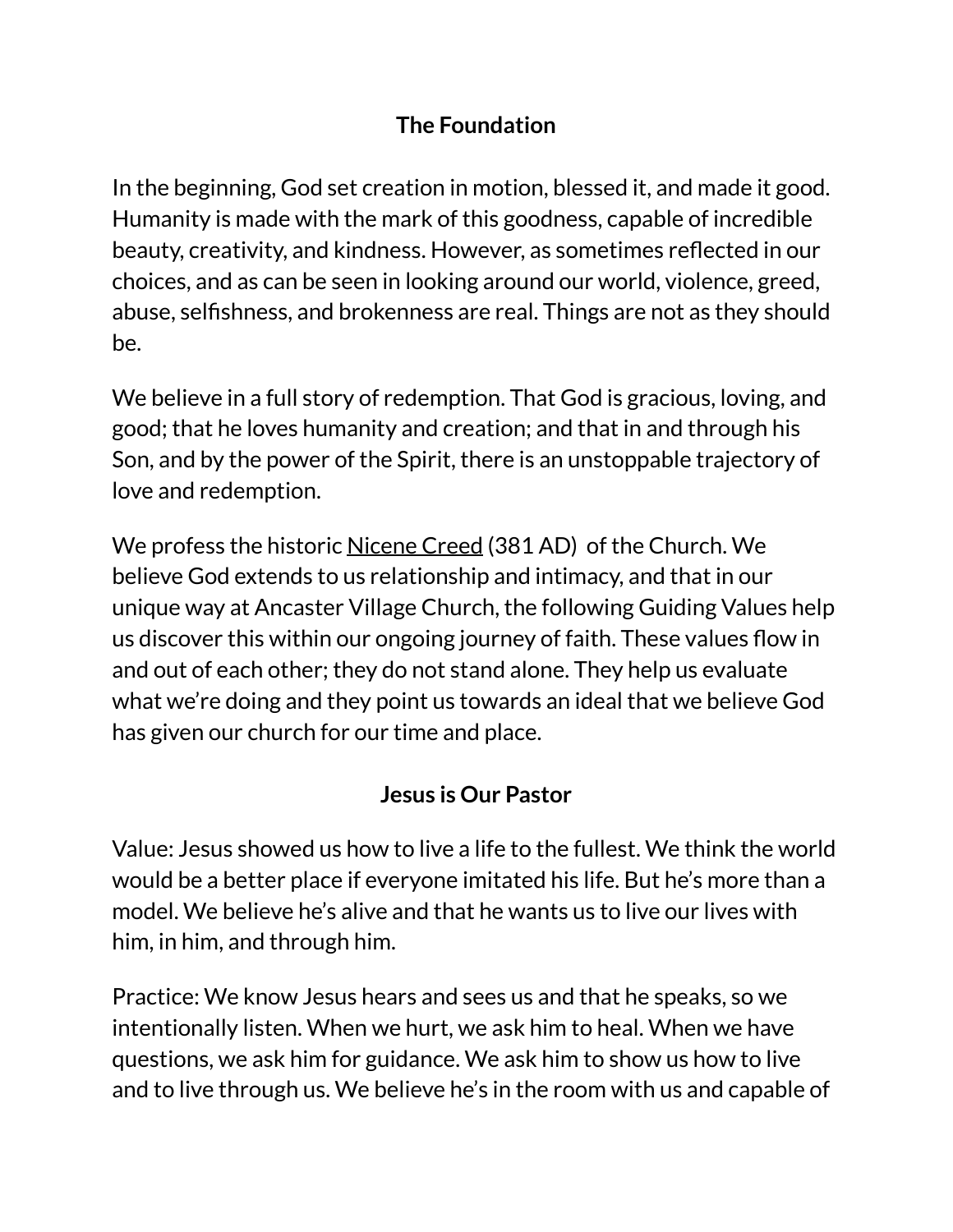#### **The Foundation**

In the beginning, God set creation in motion, blessed it, and made it good. Humanity is made with the mark of this goodness, capable of incredible beauty, creativity, and kindness. However, as sometimes reflected in our choices, and as can be seen in looking around our world, violence, greed, abuse, selfishness, and brokenness are real. Things are not as they should be.

We believe in a full story of redemption. That God is gracious, loving, and good; that he loves humanity and creation; and that in and through his Son, and by the power of the Spirit, there is an unstoppable trajectory of love and redemption.

We profess the historic [Nicene Creed](https://earlychurchtexts.com/public/nicene_creed.htm) (381 AD) of the Church. We believe God extends to us relationship and intimacy, and that in our unique way at Ancaster Village Church, the following Guiding Values help us discover this within our ongoing journey of faith. These values flow in and out of each other; they do not stand alone. They help us evaluate what we're doing and they point us towards an ideal that we believe God has given our church for our time and place.

#### **Jesus is Our Pastor**

Value: Jesus showed us how to live a life to the fullest. We think the world would be a better place if everyone imitated his life. But he's more than a model. We believe he's alive and that he wants us to live our lives with him, in him, and through him.

Practice: We know Jesus hears and sees us and that he speaks, so we intentionally listen. When we hurt, we ask him to heal. When we have questions, we ask him for guidance. We ask him to show us how to live and to live through us. We believe he's in the room with us and capable of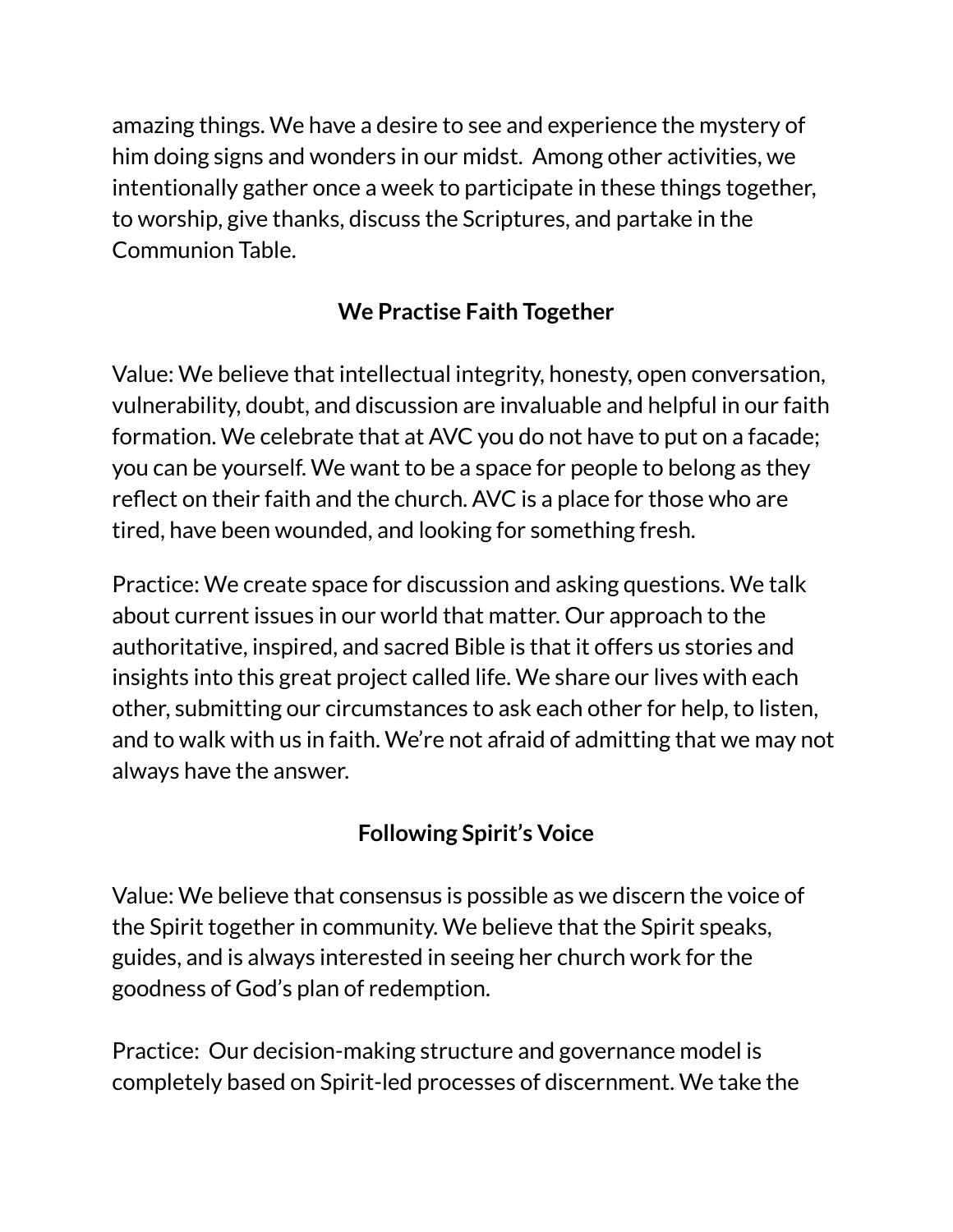amazing things. We have a desire to see and experience the mystery of him doing signs and wonders in our midst. Among other activities, we intentionally gather once a week to participate in these things together, to worship, give thanks, discuss the Scriptures, and partake in the Communion Table.

#### **We Practise Faith Together**

Value: We believe that intellectual integrity, honesty, open conversation, vulnerability, doubt, and discussion are invaluable and helpful in our faith formation. We celebrate that at AVC you do not have to put on a facade; you can be yourself. We want to be a space for people to belong as they reflect on their faith and the church. AVC is a place for those who are tired, have been wounded, and looking for something fresh.

Practice: We create space for discussion and asking questions. We talk about current issues in our world that matter. Our approach to the authoritative, inspired, and sacred Bible is that it offers us stories and insights into this great project called life. We share our lives with each other, submitting our circumstances to ask each other for help, to listen, and to walk with us in faith. We're not afraid of admitting that we may not always have the answer.

# **Following Spirit's Voice**

Value: We believe that consensus is possible as we discern the voice of the Spirit together in community. We believe that the Spirit speaks, guides, and is always interested in seeing her church work for the goodness of God's plan of redemption.

Practice: Our decision-making structure and governance model is completely based on Spirit-led processes of discernment. We take the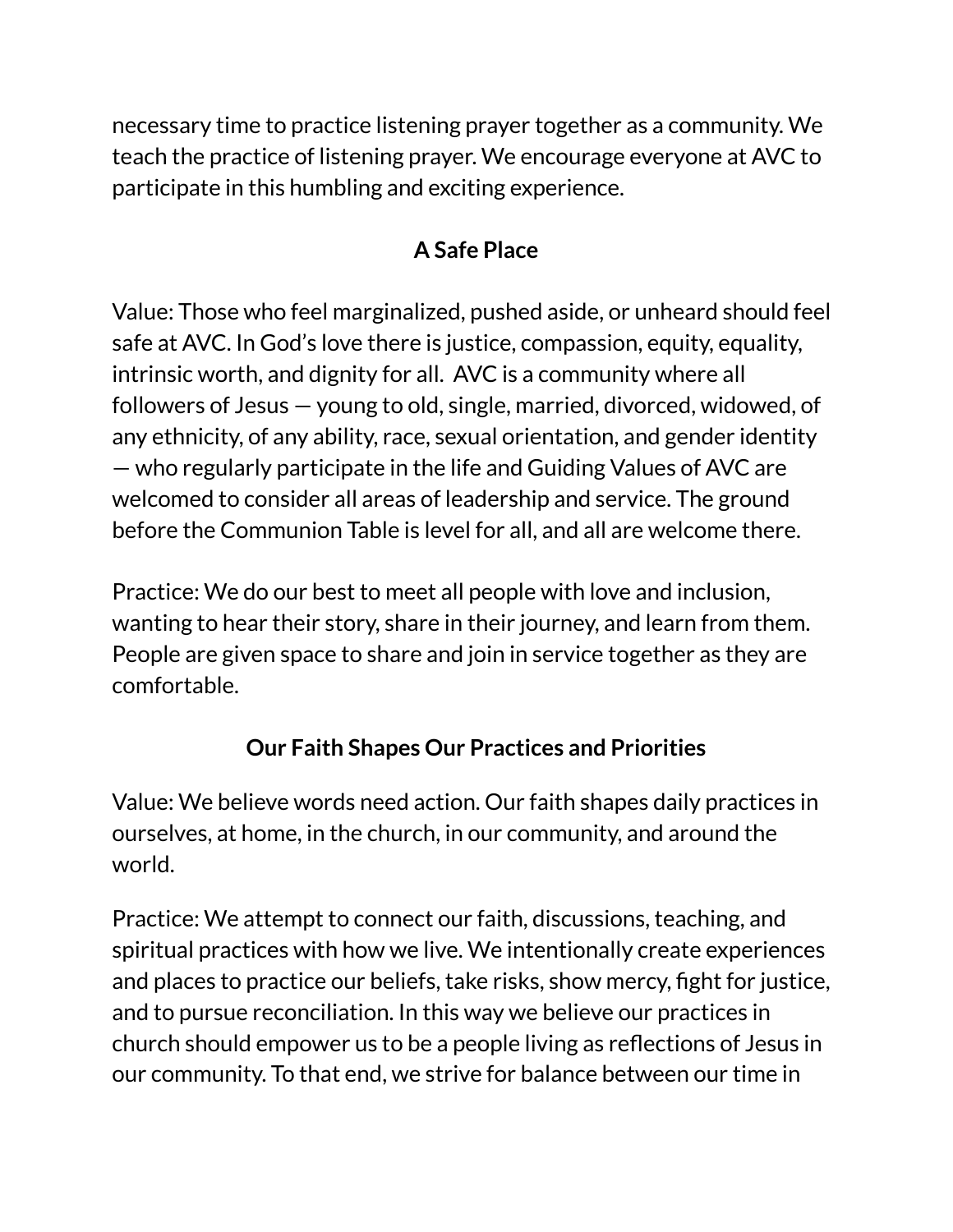necessary time to practice listening prayer together as a community. We teach the practice of listening prayer. We encourage everyone at AVC to participate in this humbling and exciting experience.

## **A Safe Place**

Value: Those who feel marginalized, pushed aside, or unheard should feel safe at AVC. In God's love there is justice, compassion, equity, equality, intrinsic worth, and dignity for all. AVC is a community where all followers of Jesus — young to old, single, married, divorced, widowed, of any ethnicity, of any ability, race, sexual orientation, and gender identity — who regularly participate in the life and Guiding Values of AVC are welcomed to consider all areas of leadership and service. The ground before the Communion Table is level for all, and all are welcome there.

Practice: We do our best to meet all people with love and inclusion, wanting to hear their story, share in their journey, and learn from them. People are given space to share and join in service together as they are comfortable.

## **Our Faith Shapes Our Practices and Priorities**

Value: We believe words need action. Our faith shapes daily practices in ourselves, at home, in the church, in our community, and around the world.

Practice: We attempt to connect our faith, discussions, teaching, and spiritual practices with how we live. We intentionally create experiences and places to practice our beliefs, take risks, show mercy, fight for justice, and to pursue reconciliation. In this way we believe our practices in church should empower us to be a people living as reflections of Jesus in our community. To that end, we strive for balance between our time in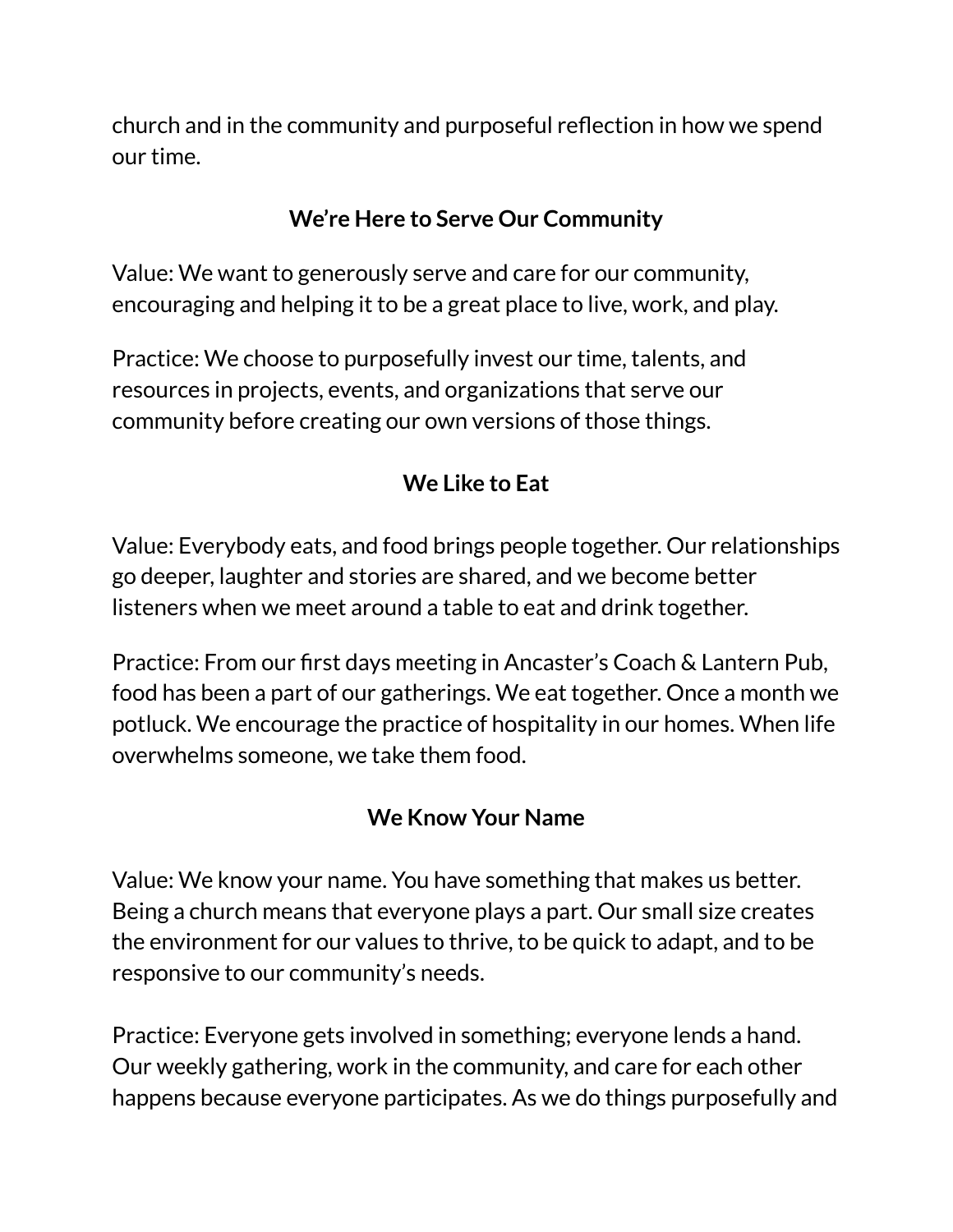church and in the community and purposeful reflection in how we spend our time.

#### **We're Here to Serve Our Community**

Value: We want to generously serve and care for our community, encouraging and helping it to be a great place to live, work, and play.

Practice: We choose to purposefully invest our time, talents, and resources in projects, events, and organizations that serve our community before creating our own versions of those things.

## **We Like to Eat**

Value: Everybody eats, and food brings people together. Our relationships go deeper, laughter and stories are shared, and we become better listeners when we meet around a table to eat and drink together.

Practice: From our first days meeting in Ancaster's Coach & Lantern Pub, food has been a part of our gatherings. We eat together. Once a month we potluck. We encourage the practice of hospitality in our homes. When life overwhelms someone, we take them food.

#### **We Know Your Name**

Value: We know your name. You have something that makes us better. Being a church means that everyone plays a part. Our small size creates the environment for our values to thrive, to be quick to adapt, and to be responsive to our community's needs.

Practice: Everyone gets involved in something; everyone lends a hand. Our weekly gathering, work in the community, and care for each other happens because everyone participates. As we do things purposefully and